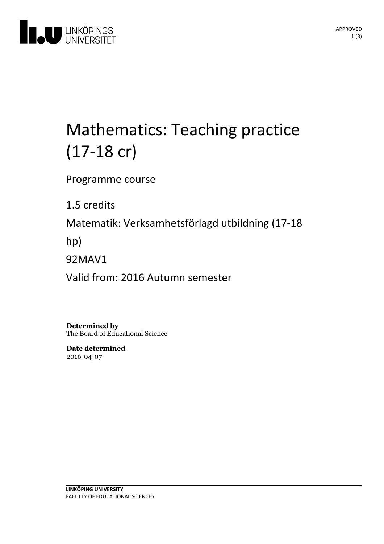

# Mathematics: Teaching practice (17-18 cr)

Programme course

1.5 credits

Matematik: Verksamhetsförlagd utbildning(17-18

hp)

92MAV1

Valid from: 2016 Autumn semester

**Determined by** The Board of Educational Science

**Date determined** 2016-04-07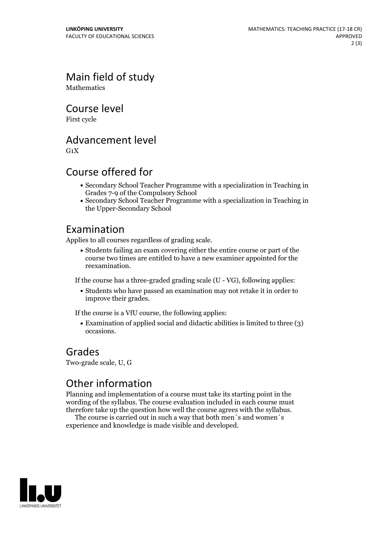Main field of study **Mathematics** 

Course level

First cycle

Advancement level

 $G_1X$ 

# Course offered for

- Secondary School Teacher Programme with a specialization in Teaching in Grades 7-9 of the Compulsory School
- Secondary School Teacher Programme with a specialization in Teaching in the Upper-Secondary School

## Examination

Applies to all courses regardless of grading scale.

Students failing an exam covering either the entire course or part of the course two times are entitled to have a new examiner appointed for the reexamination.

If the course has a three-graded grading scale (U - VG), following applies:

Students who have passed an examination may not retake it in order to improve their grades.

If the course is a VfU course, the following applies:

Examination of applied social and didactic abilities is limited to three (3) occasions.

#### Grades

Two-grade scale, U, G

## Other information

Planning and implementation of a course must take its starting point in the wording of the syllabus. The course evaluation included in each course must therefore take up the question how well the course agrees with the syllabus. The course is carried outin such <sup>a</sup> way that both men´s and women´s

experience and knowledge is made visible and developed.